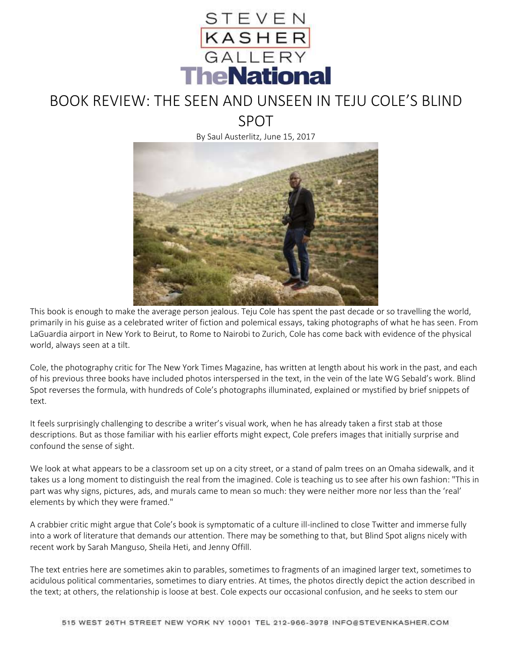

## BOOK REVIEW: THE SEEN AND UNSEEN IN TEJU COLE'S BLIND SPOT

By Saul Austerlitz, June 15, 2017



This book is enough to make the average person jealous. Teju Cole has spent the past decade or so travelling the world, primarily in his guise as a celebrated writer of fiction and polemical essays, taking photographs of what he has seen. From LaGuardia airport in New York to Beirut, to Rome to Nairobi to Zurich, Cole has come back with evidence of the physical world, always seen at a tilt.

Cole, the photography critic for The New York Times Magazine, has written at length about his work in the past, and each of his previous three books have included photos interspersed in the text, in the vein of the late W G Sebald's work. Blind Spot reverses the formula, with hundreds of Cole's photographs illuminated, explained or mystified by brief snippets of text.

It feels surprisingly challenging to describe a writer's visual work, when he has already taken a first stab at those descriptions. But as those familiar with his earlier efforts might expect, Cole prefers images that initially surprise and confound the sense of sight.

We look at what appears to be a classroom set up on a city street, or a stand of palm trees on an Omaha sidewalk, and it takes us a long moment to distinguish the real from the imagined. Cole is teaching us to see after his own fashion: "This in part was why signs, pictures, ads, and murals came to mean so much: they were neither more nor less than the 'real' elements by which they were framed."

A crabbier critic might argue that Cole's book is symptomatic of a culture ill-inclined to close Twitter and immerse fully into a work of literature that demands our attention. There may be something to that, but Blind Spot aligns nicely with recent work by Sarah Manguso, Sheila Heti, and Jenny Offill.

The text entries here are sometimes akin to parables, sometimes to fragments of an imagined larger text, sometimes to acidulous political commentaries, sometimes to diary entries. At times, the photos directly depict the action described in the text; at others, the relationship is loose at best. Cole expects our occasional confusion, and he seeks to stem our